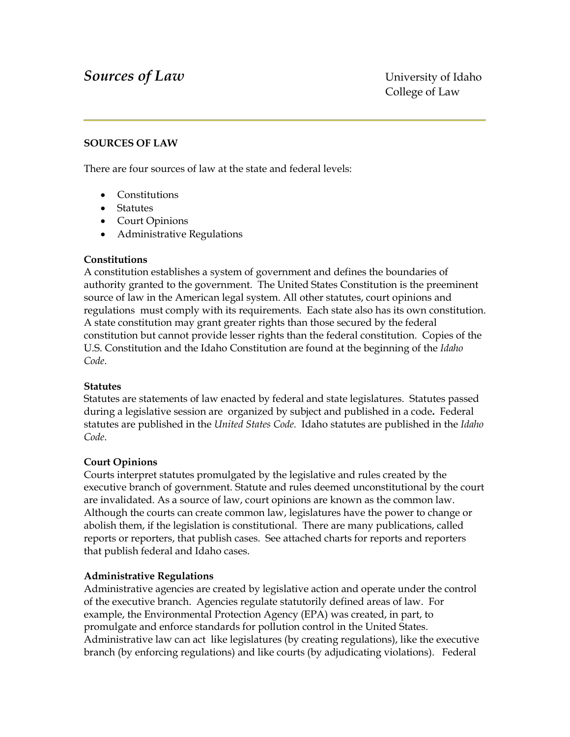## **Sources of Law** University of Idaho

#### **SOURCES OF LAW**

There are four sources of law at the state and federal levels:

- Constitutions
- Statutes
- Court Opinions
- Administrative Regulations

#### **Constitutions**

A constitution establishes a system of government and defines the boundaries of authority granted to the government. The United States Constitution is the preeminent source of law in the American legal system. All other statutes, court opinions and regulations must comply with its requirements. Each state also has its own constitution. A state constitution may grant greater rights than those secured by the federal constitution but cannot provide lesser rights than the federal constitution. Copies of the U.S. Constitution and the Idaho Constitution are found at the beginning of the *Idaho Code*.

#### **Statutes**

Statutes are statements of law enacted by federal and state legislatures. Statutes passed during a legislative session are organized by subject and published in a code**.** Federal statutes are published in the *United States Code.* Idaho statutes are published in the *Idaho Code*.

#### **Court Opinions**

Courts interpret statutes promulgated by the legislative and rules created by the executive branch of government. Statute and rules deemed unconstitutional by the court are invalidated. As a source of law, court opinions are known as the common law. Although the courts can create common law, legislatures have the power to change or abolish them, if the legislation is constitutional. There are many publications, called reports or reporters, that publish cases. See attached charts for reports and reporters that publish federal and Idaho cases.

#### **Administrative Regulations**

Administrative agencies are created by legislative action and operate under the control of the executive branch. Agencies regulate statutorily defined areas of law. For example, the Environmental Protection Agency (EPA) was created, in part, to promulgate and enforce standards for pollution control in the United States. Administrative law can act like legislatures (by creating regulations), like the executive branch (by enforcing regulations) and like courts (by adjudicating violations). Federal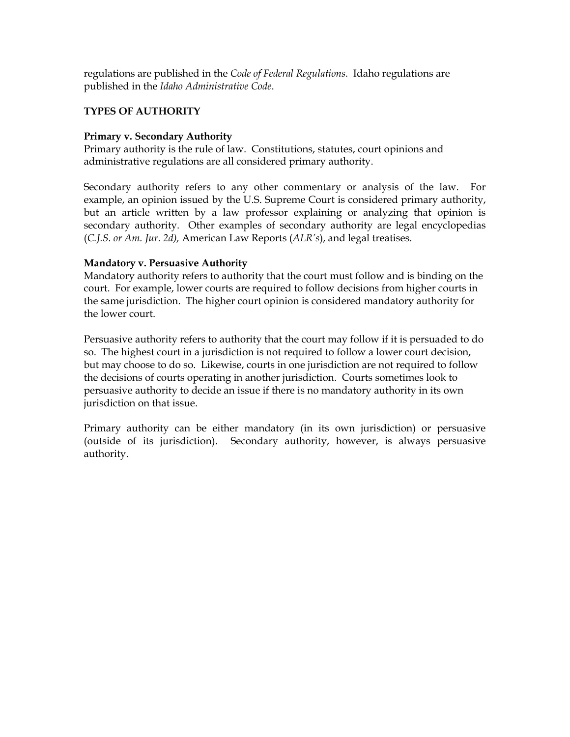regulations are published in the *Code of Federal Regulations.* Idaho regulations are published in the *Idaho Administrative Code*.

#### **TYPES OF AUTHORITY**

### **Primary v. Secondary Authority**

Primary authority is the rule of law. Constitutions, statutes, court opinions and administrative regulations are all considered primary authority.

Secondary authority refers to any other commentary or analysis of the law. For example, an opinion issued by the U.S. Supreme Court is considered primary authority, but an article written by a law professor explaining or analyzing that opinion is secondary authority. Other examples of secondary authority are legal encyclopedias (*C.J.S. or Am. Jur. 2d),* American Law Reports (*ALR's*), and legal treatises.

#### **Mandatory v. Persuasive Authority**

Mandatory authority refers to authority that the court must follow and is binding on the court. For example, lower courts are required to follow decisions from higher courts in the same jurisdiction. The higher court opinion is considered mandatory authority for the lower court.

Persuasive authority refers to authority that the court may follow if it is persuaded to do so. The highest court in a jurisdiction is not required to follow a lower court decision, but may choose to do so. Likewise, courts in one jurisdiction are not required to follow the decisions of courts operating in another jurisdiction. Courts sometimes look to persuasive authority to decide an issue if there is no mandatory authority in its own jurisdiction on that issue.

Primary authority can be either mandatory (in its own jurisdiction) or persuasive (outside of its jurisdiction). Secondary authority, however, is always persuasive authority.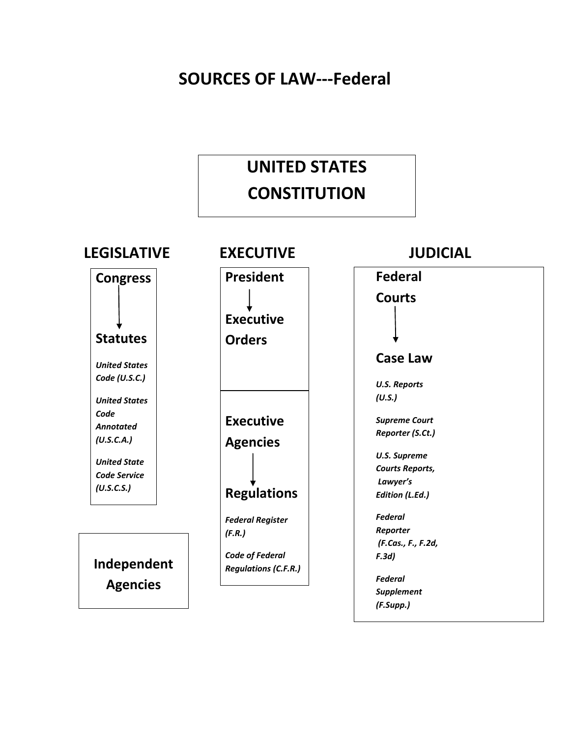# **SOURCES OF LAW---Federal**

# **UNITED STATES CONSTITUTION**

## **LEGISLATIVE EXECUTIVE JUDICIAL**

**Congress**

**Statutes** *United States Code (U.S.C.) United States Code Annotated (U.S.C.A.)*

*United State Code Service (U.S.C.S.)*

**Independent Agencies**

**President Executive Orders Executive Agencies Regulations**

*Federal Register (F.R.)*

*Code of Federal Regulations (C.F.R.)*